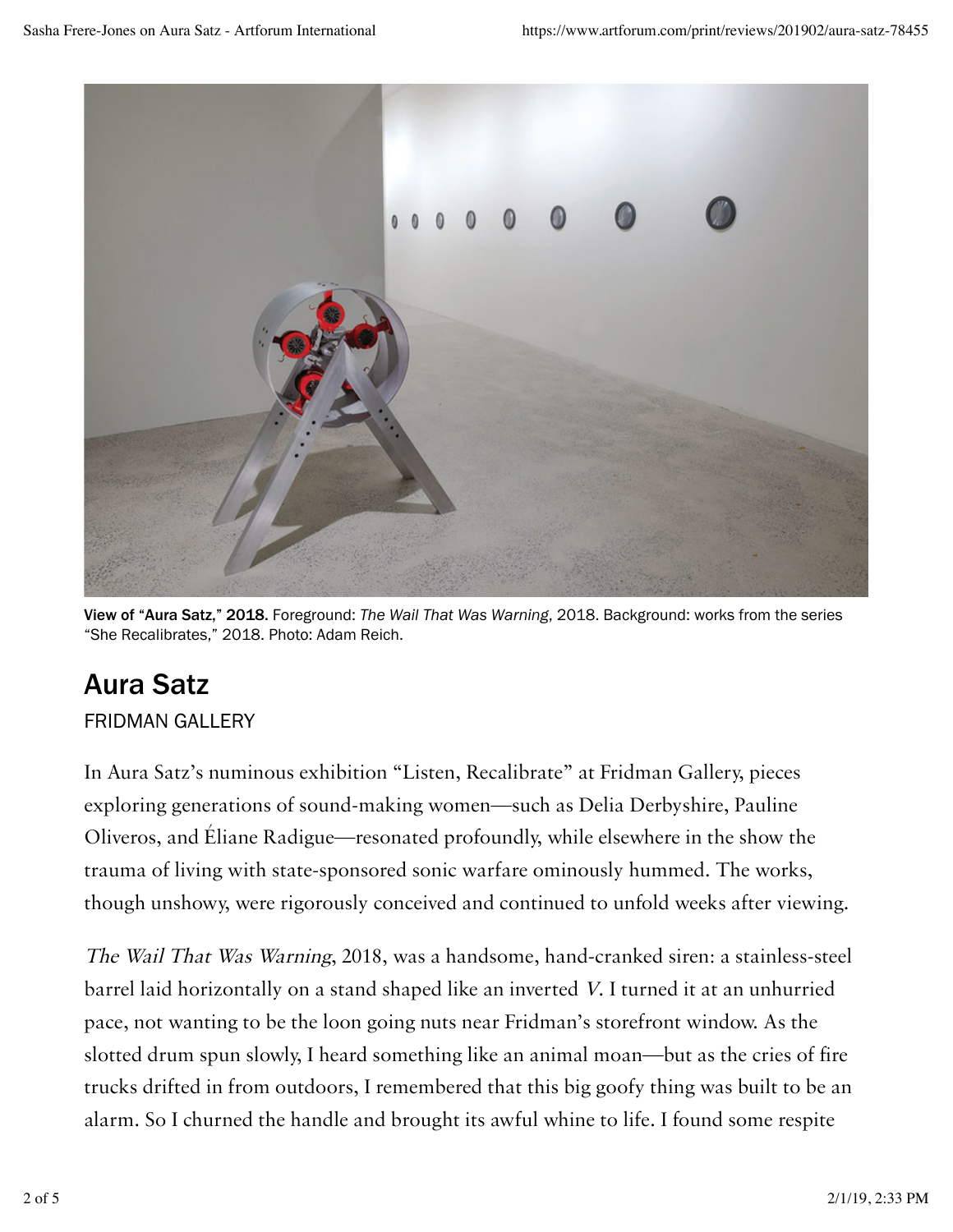

View of "Aura Satz," 2018. Foreground: *The Wail That Was Warning*, 2018. Background: works from the series "She Recalibrates," 2018. Photo: Adam Reich.

## Aura Satz

## FRIDMAN GALLERY

In Aura Satz's numinous exhibition "Listen, Recalibrate" at Fridman Gallery, pieces exploring generations of sound-making women—such as Delia Derbyshire, Pauline Oliveros, and Éliane Radigue—resonated profoundly, while elsewhere in the show the trauma of living with state-sponsored sonic warfare ominously hummed. The works, though unshowy, were rigorously conceived and continued to unfold weeks after viewing.

The Wail That Was Warning, 2018, was a handsome, hand-cranked siren: a stainless-steel barrel laid horizontally on a stand shaped like an inverted V. I turned it at an unhurried pace, not wanting to be the loon going nuts near Fridman's storefront window. As the slotted drum spun slowly, I heard something like an animal moan—but as the cries of fire trucks drifted in from outdoors, I remembered that this big goofy thing was built to be an alarm. So I churned the handle and brought its awful whine to life. I found some respite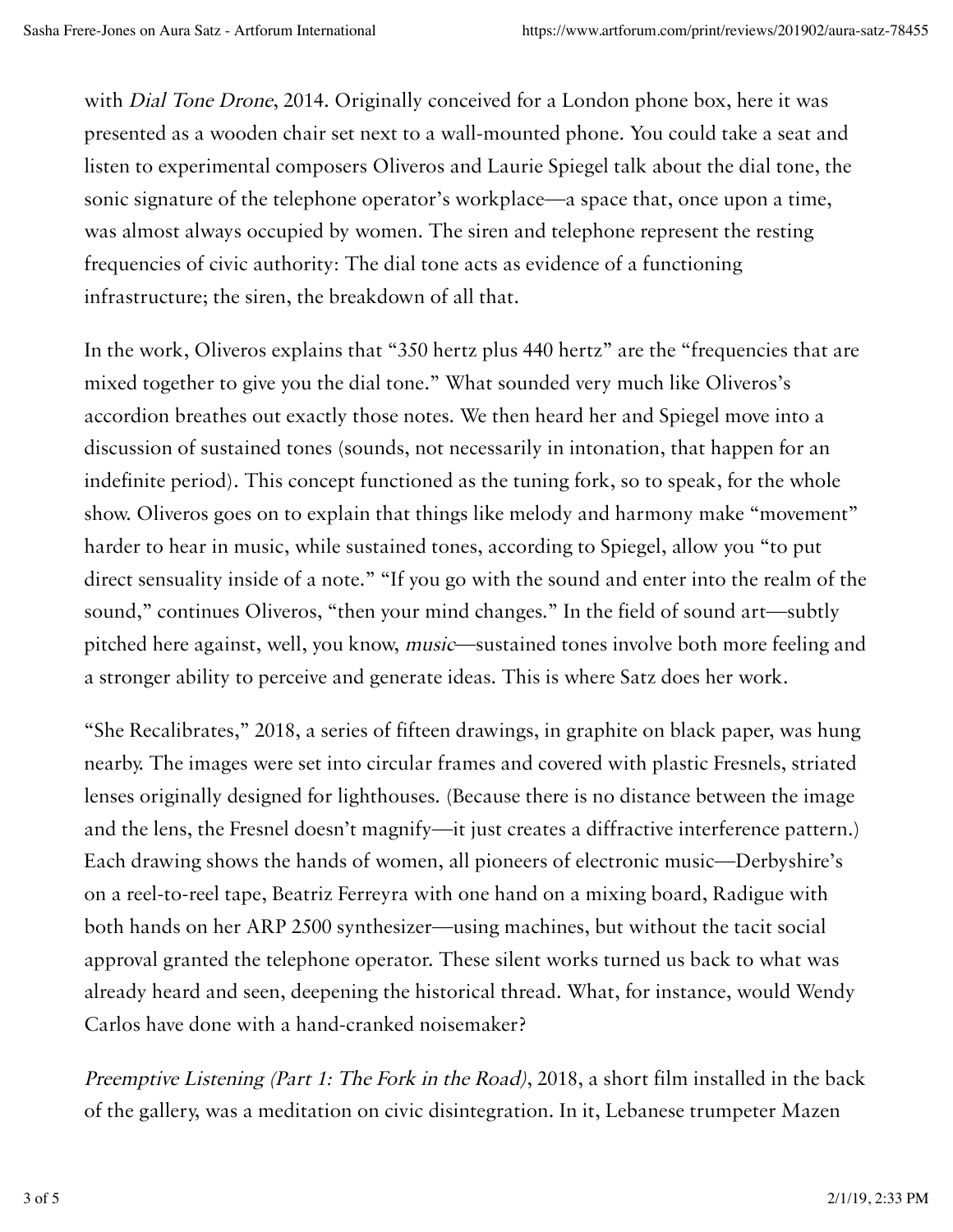with *Dial Tone Drone*, 2014. Originally conceived for a London phone box, here it was presented as a wooden chair set next to a wall-mounted phone. You could take a seat and listen to experimental composers Oliveros and Laurie Spiegel talk about the dial tone, the sonic signature of the telephone operator's workplace—a space that, once upon a time, was almost always occupied by women. The siren and telephone represent the resting frequencies of civic authority: The dial tone acts as evidence of a functioning infrastructure; the siren, the breakdown of all that.

In the work, Oliveros explains that "350 hertz plus 440 hertz" are the "frequencies that are mixed together to give you the dial tone." What sounded very much like Oliveros's accordion breathes out exactly those notes. We then heard her and Spiegel move into a discussion of sustained tones (sounds, not necessarily in intonation, that happen for an indefinite period). This concept functioned as the tuning fork, so to speak, for the whole show. Oliveros goes on to explain that things like melody and harmony make "movement" harder to hear in music, while sustained tones, according to Spiegel, allow you "to put direct sensuality inside of a note." "If you go with the sound and enter into the realm of the sound," continues Oliveros, "then your mind changes." In the field of sound art—subtly pitched here against, well, you know, music—sustained tones involve both more feeling and a stronger ability to perceive and generate ideas. This is where Satz does her work.

"She Recalibrates," 2018, a series of fifteen drawings, in graphite on black paper, was hung nearby. The images were set into circular frames and covered with plastic Fresnels, striated lenses originally designed for lighthouses. (Because there is no distance between the image and the lens, the Fresnel doesn't magnify—it just creates a diffractive interference pattern.) Each drawing shows the hands of women, all pioneers of electronic music—Derbyshire's on a reel-to-reel tape, Beatriz Ferreyra with one hand on a mixing board, Radigue with both hands on her ARP 2500 synthesizer—using machines, but without the tacit social approval granted the telephone operator. These silent works turned us back to what was already heard and seen, deepening the historical thread. What, for instance, would Wendy Carlos have done with a hand-cranked noisemaker?

Preemptive Listening (Part 1: The Fork in the Road), 2018, a short film installed in the back of the gallery, was a meditation on civic disintegration. In it, Lebanese trumpeter Mazen